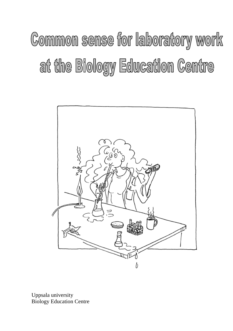# Common sense for laboratory work at the Biology Education Centre



Uppsala university Biology Education Centre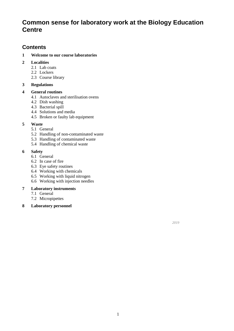# **Common sense for laboratory work at the Biology Education Centre**

# **Contents**

#### **1 [Welcome to our course laboratories](#page-2-0)**

#### **2 [Localities](#page-2-1)**

- 2.1 [Lab coats](#page-2-2)
- 2.2 [Lockers](#page-2-3)
- 2.3 Course library

# **3 [Regulations](#page-2-4)**

# **4 [General routines](#page-3-0)**

- 4.1 [Autoclaves and sterilisation ovens](#page-3-1)
- 4.2 [Dish washing](#page-3-2)
- 4.3 [Bacterial spill](#page-3-3)
- 4.4 [Solutions and media](#page-4-0)
- 4.5 [Broken or faulty lab equipment](#page-4-1)

# **5 [Waste](#page-4-2)**

- 5.1 [General](#page-4-3)
- 5.2 [Handling of non-contaminated waste](#page-4-4)
- 5.3 [Handling of contaminated waste](#page-4-5)
- 5.4 [Handling of chemical waste](#page-5-0)

# **6 [Safety](#page-5-1)**

- 6.1 [General](#page-6-0)
- 6.2 [In case of fire](#page-6-1)
- 6.3 [Eye safety routines](#page-6-2)
- 6.4 [Working with chemicals](#page-6-3)
- 6.5 [Working with liquid nitrogen](#page-7-0)
- 6.6 [Working with injection needles](#page-7-1)

# **7 [Laboratory instruments](#page-7-2)**

- 7.1 [General](#page-7-3)
- 7.2 [Micropipettes](#page-7-4)
- **8 [Laboratory personnel](#page-7-5)**

*2019*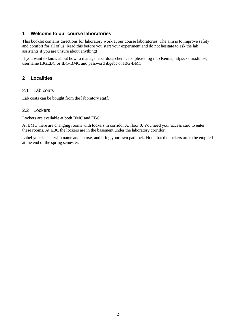# <span id="page-2-0"></span>**1 Welcome to our course laboratories**

This booklet contains directions for laboratory work at our course laboratories. The aim is to improve safety and comfort for all of us. Read this before you start your experiment and do not hesitate to ask the lab assistants if you are unsure about anything!

If you want to know about how to manage hazardous chemicals, please log into Kemia, https//kemia.lul.se, username IBGEBC or IBG-BMC and password ibgebc or IBG-BMC

# <span id="page-2-2"></span><span id="page-2-1"></span>**2 Localities**

#### 2.1 Lab coats

<span id="page-2-3"></span>Lab coats can be bought from the laboratory staff.

#### 2.2 Lockers

Lockers are available at both BMC and EBC.

At BMC there are changing rooms with lockers in corridor A, floor 0. You need your access card to enter these rooms. At EBC the lockers are in the basement under the laboratory corridor.

<span id="page-2-4"></span>Label your locker with name and course, and bring your own pad lock. Note that the lockers are to be emptied at the end of the spring semester.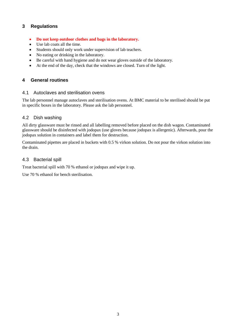# **3 Regulations**

- **Do not keep outdoor clothes and bags in the laboratory.**
- Use lab coats all the time.
- Students should only work under supervision of lab teachers.
- No eating or drinking in the laboratory.
- Be careful with hand hygiene and do not wear gloves outside of the laboratory.
- <span id="page-3-0"></span>• At the end of the day, check that the windows are closed. Turn of the light.

# <span id="page-3-1"></span>**4 General routines**

#### 4.1 Autoclaves and sterilisation ovens

The lab personnel manage autoclaves and sterilisation ovens. At BMC material to be sterilised should be put in specific boxes in the laboratory. Please ask the lab personnel.

# <span id="page-3-2"></span>4.2 Dish washing

All dirty glassware must be rinsed and all labelling removed before placed on the dish wagon. Contaminated glassware should be disinfected with jodopax (use gloves because jodopax is allergenic). Afterwards, pour the jodopax solution in containers and label them for destruction.

Contaminated pipettes are placed in buckets with 0.5 % virkon solution. Do not pour the virkon solution into the drain.

# <span id="page-3-3"></span>4.3 Bacterial spill

Treat bacterial spill with 70 % ethanol or jodopax and wipe it up.

Use 70 % ethanol for bench sterilisation.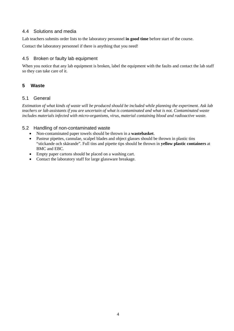# <span id="page-4-0"></span>4.4 Solutions and media

Lab teachers submits order lists to the laboratory personnel **in good time** before start of the course.

<span id="page-4-1"></span>Contact the laboratory personnel if there is anything that you need!

# 4.5 Broken or faulty lab equipment

When you notice that any lab equipment is broken, label the equipment with the faults and contact the lab staff so they can take care of it.

# <span id="page-4-3"></span><span id="page-4-2"></span>**5 Waste**

# 5.1 General

*Estimation of what kinds of waste will be produced should be included while planning the experiment. Ask lab teachers or lab assistants if you are uncertain of what is contaminated and what is not. Contaminated waste includes materials infected with micro-organisms, virus, material containing blood and radioactive waste.*

# <span id="page-4-4"></span>5.2 Handling of non-contaminated waste

- Non-contaminated paper towels should be thrown in a **wastebasket**.
- Pasteur pipettes, cannulae, scalpel blades and object glasses should be thrown in plastic tins "stickande och skärande". Full tins and pipette tips should be thrown in **yellow plastic containers** at BMC and EBC.
- Empty paper cartons should be placed on a washing cart.
- <span id="page-4-5"></span>• Contact the laboratory staff for large glassware breakage.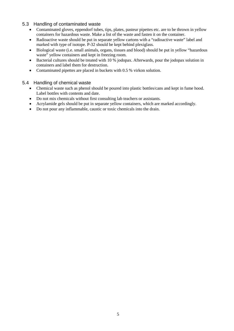# 5.3 Handling of contaminated waste

- Contaminated gloves, eppendorf tubes, tips, plates, pasteur pipettes etc. are to be thrown in yellow containers for hazardous waste. Make a list of the waste and fasten it on the container.
- Radioactive waste should be put in separate yellow cartons with a "radioactive waste" label and marked with type of isotope. P-32 should be kept behind plexiglass.
- Biological waste (i.e. small animals, organs, tissues and blood) should be put in yellow "hazardous waste" yellow containers and kept in freezing room.
- Bacterial cultures should be treated with 10 % jodopax. Afterwards, pour the jodopax solution in containers and label them for destruction.
- Contaminated pipettes are placed in buckets with 0.5 % virkon solution.

#### <span id="page-5-0"></span>5.4 Handling of chemical waste

- Chemical waste such as phenol should be poured into plastic bottles/cans and kept in fume hood. Label bottles with contents and date.
- Do not mix chemicals without first consulting lab teachers or assistants.
- Acrylamide gels should be put in separate yellow containers, which are marked accordingly.
- <span id="page-5-1"></span>• Do not pour any inflammable, caustic or toxic chemicals into the drain.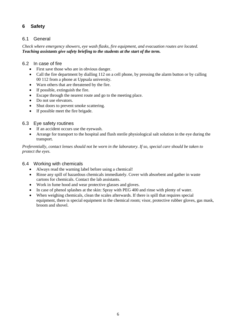# <span id="page-6-0"></span>**6 Safety**

# 6.1 General

*Check where emergency showers, eye wash flasks, fire equipment, and evacuation routes are located. Teaching assistants give safety briefing to the students at the start of the term.*

# <span id="page-6-1"></span>6.2 In case of fire

- First save those who are in obvious danger.
- Call the fire department by dialling 112 on a cell phone, by pressing the alarm button or by calling 00 112 from a phone at Uppsala university.
- Warn others that are threatened by the fire.
- If possible, extinguish the fire.
- Escape through the nearest route and go to the meeting place.
- Do not use elevators.
- Shut doors to prevent smoke scattering.
- If possible meet the fire brigade.

# <span id="page-6-2"></span>6.3 Eye safety routines

- If an accident occurs use the eyewash.
- Arrange for transport to the hospital and flush sterile physiological salt solution in the eye during the transport.

*Preferentially, contact lenses should not be worn in the laboratory. If so, special care should be taken to protect the eyes.*

# <span id="page-6-3"></span>6.4 Working with chemicals

- Always read the warning label before using a chemical!
- Rinse any spill of hazardous chemicals immediately. Cover with absorbent and gather in waste cartons for chemicals. Contact the lab assistants.
- Work in fume hood and wear protective glasses and gloves.
- In case of phenol splashes at the skin: Spray with PEG 400 and rinse with plenty of water.
- When weighing chemicals, clean the scales afterwards. If there is spill that requires special equipment, there is special equipment in the chemical room; visor, protective rubber gloves, gas mask, broom and shovel.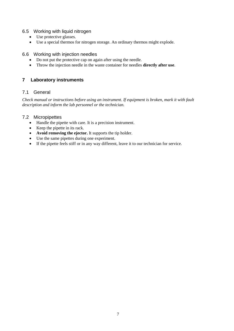# <span id="page-7-0"></span>6.5 Working with liquid nitrogen

- Use protective glasses.
- Use a special thermos for nitrogen storage. An ordinary thermos might explode.

#### <span id="page-7-1"></span>6.6 Working with injection needles

- Do not put the protective cap on again after using the needle.
- <span id="page-7-2"></span>• Throw the injection needle in the waste container for needles **directly after use**.

# <span id="page-7-3"></span>**7 Laboratory instruments**

# 7.1 General

*Check manual or instructions before using an instrument. If equipment is broken, mark it with fault description and inform the lab personnel or the technician.*

#### <span id="page-7-4"></span>7.2 Micropipettes

- Handle the pipette with care. It is a precision instrument.
- Keep the pipette in its rack.
- **Avoid removing the ejector.** It supports the tip holder.
- Use the same pipettes during one experiment.
- <span id="page-7-5"></span>• If the pipette feels stiff or in any way different, leave it to our technician for service.